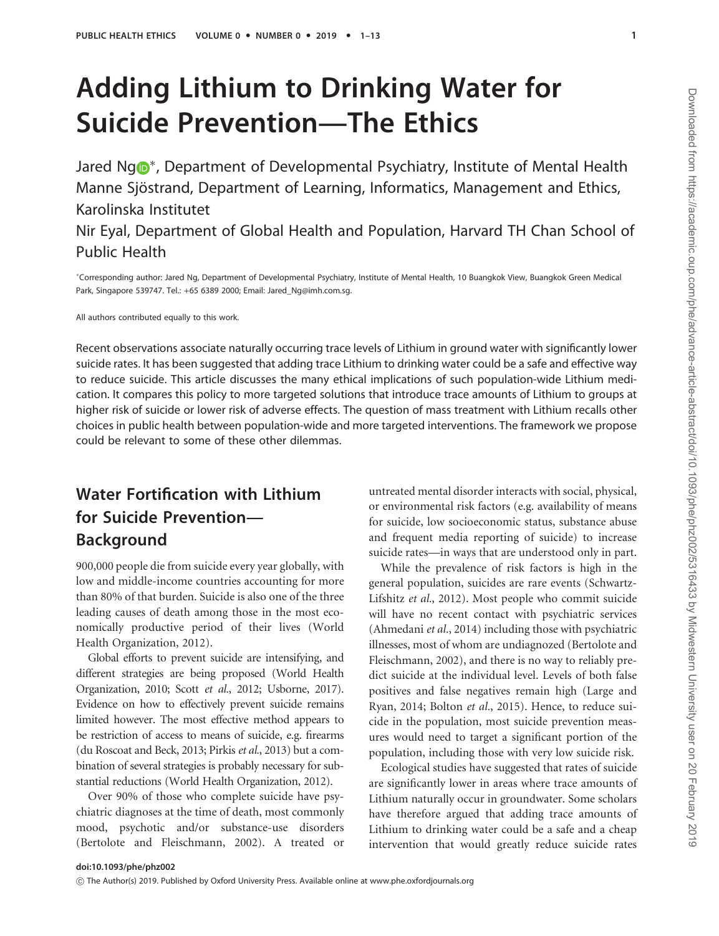# Adding Lithium to Drinking Water for Suicide Prevention—The Ethics

Jared Ng<sup>®</sup>\*, Department of Developmental Psychiatry, Institute of Mental Health Manne Sjöstrand, Department of Learning, Informatics, Management and Ethics, Karolinska Institutet

Nir Eyal, Department of Global Health and Population, Harvard TH Chan School of Public Health

- Corresponding author: Jared Ng, Department of Developmental Psychiatry, Institute of Mental Health, 10 Buangkok View, Buangkok Green Medical Park, Singapore 539747. Tel.: +65 6389 2000; Email: Jared\_Ng@imh.com.sg.

All authors contributed equally to this work.

Recent observations associate naturally occurring trace levels of Lithium in ground water with significantly lower suicide rates. It has been suggested that adding trace Lithium to drinking water could be a safe and effective way to reduce suicide. This article discusses the many ethical implications of such population-wide Lithium medication. It compares this policy to more targeted solutions that introduce trace amounts of Lithium to groups at higher risk of suicide or lower risk of adverse effects. The question of mass treatment with Lithium recalls other choices in public health between population-wide and more targeted interventions. The framework we propose could be relevant to some of these other dilemmas.

# Water Fortification with Lithium for Suicide Prevention— Background

900,000 people die from suicide every year globally, with low and middle-income countries accounting for more than 80% of that burden. Suicide is also one of the three leading causes of death among those in the most economically productive period of their lives [\(World](#page-12-0) [Health Organization, 2012](#page-12-0)).

Global efforts to prevent suicide are intensifying, and different strategies are being proposed ([World Health](#page-12-0) [Organization, 2010;](#page-12-0) Scott et al.[, 2012;](#page-11-0) [Usborne, 2017](#page-12-0)). Evidence on how to effectively prevent suicide remains limited however. The most effective method appears to be restriction of access to means of suicide, e.g. firearms [\(du Roscoat and Beck, 2013;](#page-9-0) Pirkis et al.[, 2013\)](#page-11-0) but a combination of several strategies is probably necessary for substantial reductions [\(World Health Organization, 2012\)](#page-12-0).

Over 90% of those who complete suicide have psychiatric diagnoses at the time of death, most commonly mood, psychotic and/or substance-use disorders [\(Bertolote and Fleischmann, 2002](#page-9-0)). A treated or untreated mental disorder interacts with social, physical, or environmental risk factors (e.g. availability of means for suicide, low socioeconomic status, substance abuse and frequent media reporting of suicide) to increase suicide rates—in ways that are understood only in part.

While the prevalence of risk factors is high in the general population, suicides are rare events [\(Schwartz-](#page-11-0)[Lifshitz](#page-11-0) et al., 2012). Most people who commit suicide will have no recent contact with psychiatric services [\(Ahmedani](#page-8-0) et al., 2014) including those with psychiatric illnesses, most of whom are undiagnozed [\(Bertolote and](#page-9-0) [Fleischmann, 2002](#page-9-0)), and there is no way to reliably predict suicide at the individual level. Levels of both false positives and false negatives remain high [\(Large and](#page-10-0) [Ryan, 2014](#page-10-0); [Bolton](#page-9-0) et al., 2015). Hence, to reduce suicide in the population, most suicide prevention measures would need to target a significant portion of the population, including those with very low suicide risk.

Ecological studies have suggested that rates of suicide are significantly lower in areas where trace amounts of Lithium naturally occur in groundwater. Some scholars have therefore argued that adding trace amounts of Lithium to drinking water could be a safe and a cheap intervention that would greatly reduce suicide rates

#### doi:10.1093/phe/phz002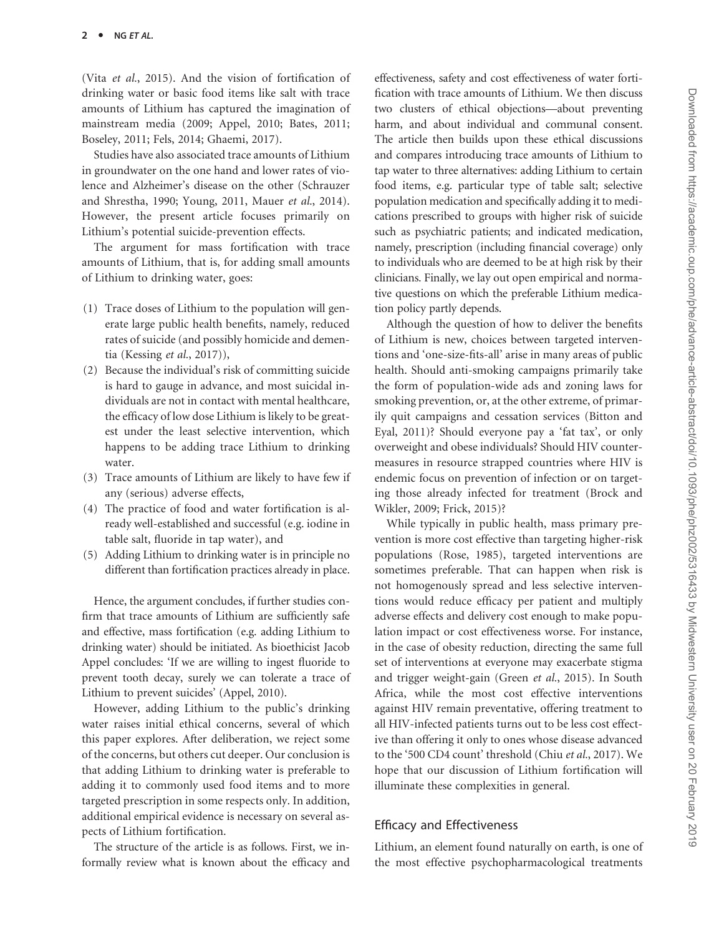(Vita et al.[, 2015](#page-12-0)). And the vision of fortification of drinking water or basic food items like salt with trace amounts of Lithium has captured the imagination of mainstream media [\(2009](#page-8-0); [Appel, 2010; Bates, 2011;](#page-8-0) [Boseley, 2011; Fels, 2014; Ghaemi, 2017\)](#page-9-0).

Studies have also associated trace amounts of Lithium in groundwater on the one hand and lower rates of violence and Alzheimer's disease on the other [\(Schrauzer](#page-11-0) [and Shrestha, 1990;](#page-11-0) [Young, 2011](#page-12-0), [Mauer](#page-10-0) et al., 2014). However, the present article focuses primarily on Lithium's potential suicide-prevention effects.

The argument for mass fortification with trace amounts of Lithium, that is, for adding small amounts of Lithium to drinking water, goes:

- (1) Trace doses of Lithium to the population will generate large public health benefits, namely, reduced rates of suicide (and possibly homicide and dementia [\(Kessing](#page-10-0) et al., 2017)),
- (2) Because the individual's risk of committing suicide is hard to gauge in advance, and most suicidal individuals are not in contact with mental healthcare, the efficacy of low dose Lithium is likely to be greatest under the least selective intervention, which happens to be adding trace Lithium to drinking water.
- (3) Trace amounts of Lithium are likely to have few if any (serious) adverse effects,
- (4) The practice of food and water fortification is already well-established and successful (e.g. iodine in table salt, fluoride in tap water), and
- (5) Adding Lithium to drinking water is in principle no different than fortification practices already in place.

Hence, the argument concludes, if further studies confirm that trace amounts of Lithium are sufficiently safe and effective, mass fortification (e.g. adding Lithium to drinking water) should be initiated. As bioethicist Jacob Appel concludes: 'If we are willing to ingest fluoride to prevent tooth decay, surely we can tolerate a trace of Lithium to prevent suicides' [\(Appel, 2010\)](#page-8-0).

However, adding Lithium to the public's drinking water raises initial ethical concerns, several of which this paper explores. After deliberation, we reject some of the concerns, but others cut deeper. Our conclusion is that adding Lithium to drinking water is preferable to adding it to commonly used food items and to more targeted prescription in some respects only. In addition, additional empirical evidence is necessary on several aspects of Lithium fortification.

The structure of the article is as follows. First, we informally review what is known about the efficacy and effectiveness, safety and cost effectiveness of water fortification with trace amounts of Lithium. We then discuss two clusters of ethical objections—about preventing harm, and about individual and communal consent. The article then builds upon these ethical discussions and compares introducing trace amounts of Lithium to tap water to three alternatives: adding Lithium to certain food items, e.g. particular type of table salt; selective population medication and specifically adding it to medications prescribed to groups with higher risk of suicide such as psychiatric patients; and indicated medication, namely, prescription (including financial coverage) only to individuals who are deemed to be at high risk by their clinicians. Finally, we lay out open empirical and normative questions on which the preferable Lithium medication policy partly depends.

Although the question of how to deliver the benefits of Lithium is new, choices between targeted interventions and 'one-size-fits-all' arise in many areas of public health. Should anti-smoking campaigns primarily take the form of population-wide ads and zoning laws for smoking prevention, or, at the other extreme, of primarily quit campaigns and cessation services [\(Bitton and](#page-9-0) [Eyal, 2011](#page-9-0))? Should everyone pay a 'fat tax', or only overweight and obese individuals? Should HIV countermeasures in resource strapped countries where HIV is endemic focus on prevention of infection or on targeting those already infected for treatment ([Brock and](#page-9-0) [Wikler, 2009; Frick, 2015\)](#page-9-0)?

While typically in public health, mass primary prevention is more cost effective than targeting higher-risk populations [\(Rose, 1985\)](#page-11-0), targeted interventions are sometimes preferable. That can happen when risk is not homogenously spread and less selective interventions would reduce efficacy per patient and multiply adverse effects and delivery cost enough to make population impact or cost effectiveness worse. For instance, in the case of obesity reduction, directing the same full set of interventions at everyone may exacerbate stigma and trigger weight-gain (Green et al.[, 2015\)](#page-10-0). In South Africa, while the most cost effective interventions against HIV remain preventative, offering treatment to all HIV-infected patients turns out to be less cost effective than offering it only to ones whose disease advanced to the '500 CD4 count' threshold (Chiu et al.[, 2017](#page-9-0)). We hope that our discussion of Lithium fortification will illuminate these complexities in general.

### Efficacy and Effectiveness

Lithium, an element found naturally on earth, is one of the most effective psychopharmacological treatments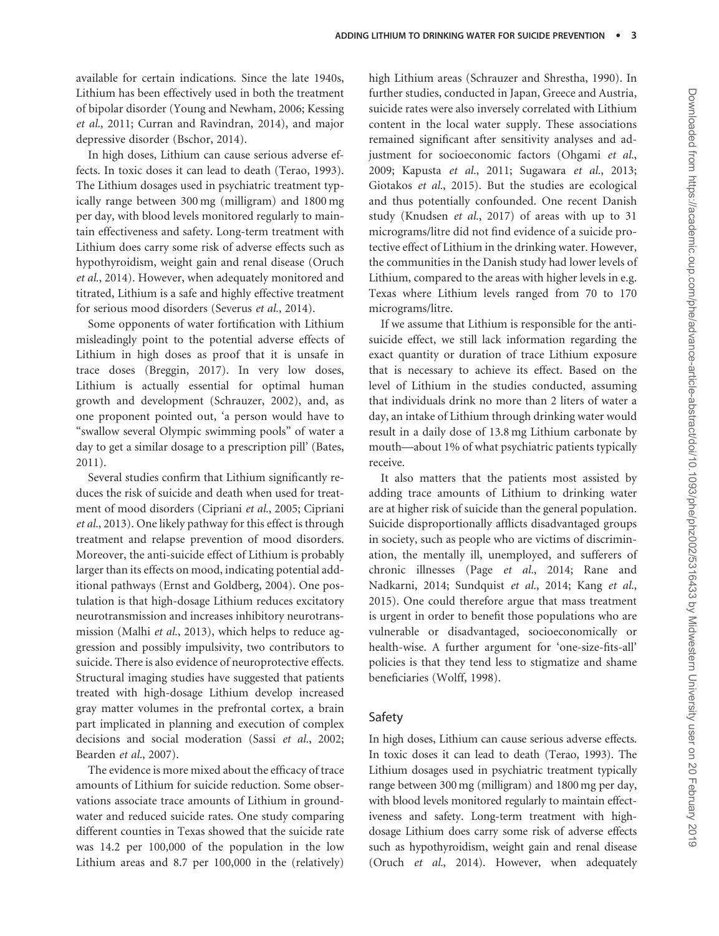available for certain indications. Since the late 1940s, Lithium has been effectively used in both the treatment of bipolar disorder ([Young and Newham, 2006;](#page-12-0) [Kessing](#page-10-0) et al.[, 2011](#page-10-0); [Curran and Ravindran, 2014](#page-9-0)), and major depressive disorder [\(Bschor, 2014\)](#page-9-0).

In high doses, Lithium can cause serious adverse effects. In toxic doses it can lead to death ([Terao, 1993](#page-12-0)). The Lithium dosages used in psychiatric treatment typically range between 300 mg (milligram) and 1800 mg per day, with blood levels monitored regularly to maintain effectiveness and safety. Long-term treatment with Lithium does carry some risk of adverse effects such as hypothyroidism, weight gain and renal disease [\(Oruch](#page-11-0) et al.[, 2014](#page-11-0)). However, when adequately monitored and titrated, Lithium is a safe and highly effective treatment for serious mood disorders ([Severus](#page-11-0) et al., 2014).

Some opponents of water fortification with Lithium misleadingly point to the potential adverse effects of Lithium in high doses as proof that it is unsafe in trace doses [\(Breggin, 2017](#page-9-0)). In very low doses, Lithium is actually essential for optimal human growth and development ([Schrauzer, 2002](#page-11-0)), and, as one proponent pointed out, 'a person would have to "swallow several Olympic swimming pools" of water a day to get a similar dosage to a prescription pill' ([Bates,](#page-8-0) [2011\)](#page-8-0).

Several studies confirm that Lithium significantly reduces the risk of suicide and death when used for treatment of mood disorders ([Cipriani](#page-9-0) et al., 2005; [Cipriani](#page-9-0) et al.[, 2013](#page-9-0)). One likely pathway for this effect is through treatment and relapse prevention of mood disorders. Moreover, the anti-suicide effect of Lithium is probably larger than its effects on mood, indicating potential additional pathways ([Ernst and Goldberg, 2004\)](#page-9-0). One postulation is that high-dosage Lithium reduces excitatory neurotransmission and increases inhibitory neurotrans-mission (Malhi et al.[, 2013](#page-10-0)), which helps to reduce aggression and possibly impulsivity, two contributors to suicide. There is also evidence of neuroprotective effects. Structural imaging studies have suggested that patients treated with high-dosage Lithium develop increased gray matter volumes in the prefrontal cortex, a brain part implicated in planning and execution of complex decisions and social moderation (Sassi et al.[, 2002](#page-11-0); [Bearden](#page-8-0) et al., 2007).

The evidence is more mixed about the efficacy of trace amounts of Lithium for suicide reduction. Some observations associate trace amounts of Lithium in groundwater and reduced suicide rates. One study comparing different counties in Texas showed that the suicide rate was 14.2 per 100,000 of the population in the low Lithium areas and 8.7 per 100,000 in the (relatively) high Lithium areas ([Schrauzer and Shrestha, 1990\)](#page-11-0). In further studies, conducted in Japan, Greece and Austria, suicide rates were also inversely correlated with Lithium content in the local water supply. These associations remained significant after sensitivity analyses and ad-justment for socioeconomic factors ([Ohgami](#page-8-0) et al., [2009](#page-8-0); [Kapusta](#page-10-0) et al., 2011; [Sugawara](#page-11-0) et al., 2013; [Giotakos](#page-10-0) et al., 2015). But the studies are ecological and thus potentially confounded. One recent Danish study ([Knudsen](#page-10-0) et al., 2017) of areas with up to 31 micrograms/litre did not find evidence of a suicide protective effect of Lithium in the drinking water. However, the communities in the Danish study had lower levels of Lithium, compared to the areas with higher levels in e.g. Texas where Lithium levels ranged from 70 to 170 micrograms/litre.

If we assume that Lithium is responsible for the antisuicide effect, we still lack information regarding the exact quantity or duration of trace Lithium exposure that is necessary to achieve its effect. Based on the level of Lithium in the studies conducted, assuming that individuals drink no more than 2 liters of water a day, an intake of Lithium through drinking water would result in a daily dose of 13.8 mg Lithium carbonate by mouth—about 1% of what psychiatric patients typically receive.

It also matters that the patients most assisted by adding trace amounts of Lithium to drinking water are at higher risk of suicide than the general population. Suicide disproportionally afflicts disadvantaged groups in society, such as people who are victims of discrimination, the mentally ill, unemployed, and sufferers of chronic illnesses (Page et al.[, 2014](#page-11-0); [Rane and](#page-11-0) [Nadkarni, 2014; Sundquist](#page-11-0) et al., 2014; Kang [et al.](#page-10-0), [2015](#page-10-0)). One could therefore argue that mass treatment is urgent in order to benefit those populations who are vulnerable or disadvantaged, socioeconomically or health-wise. A further argument for 'one-size-fits-all' policies is that they tend less to stigmatize and shame beneficiaries [\(Wolff, 1998\)](#page-12-0).

#### Safety

In high doses, Lithium can cause serious adverse effects. In toxic doses it can lead to death [\(Terao, 1993](#page-12-0)). The Lithium dosages used in psychiatric treatment typically range between 300 mg (milligram) and 1800 mg per day, with blood levels monitored regularly to maintain effectiveness and safety. Long-term treatment with highdosage Lithium does carry some risk of adverse effects such as hypothyroidism, weight gain and renal disease (Oruch et al.[, 2014\)](#page-11-0). However, when adequately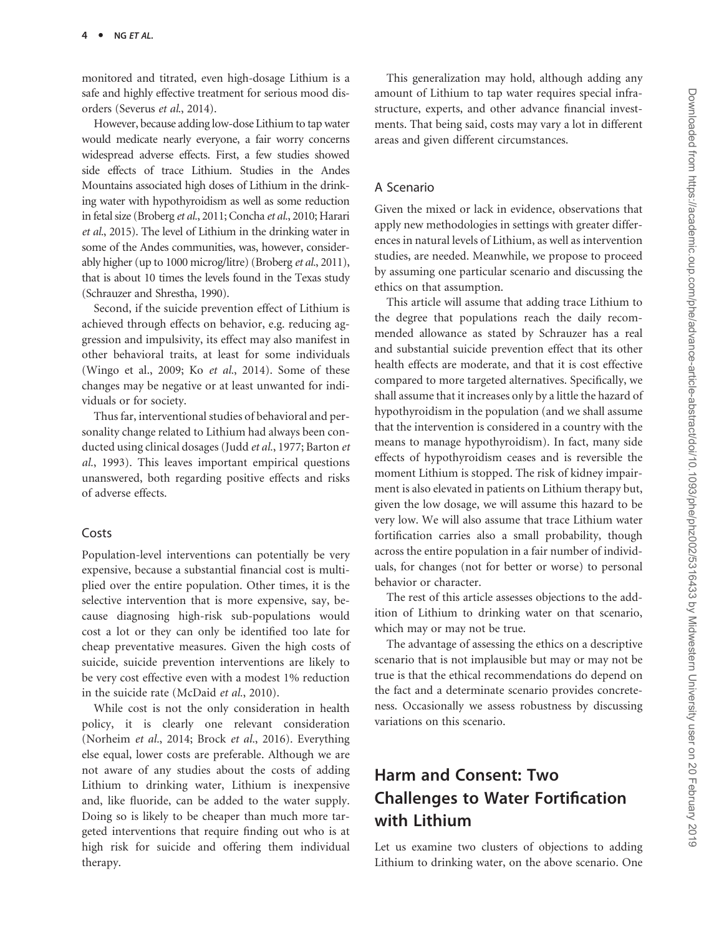monitored and titrated, even high-dosage Lithium is a safe and highly effective treatment for serious mood disorders [\(Severus](#page-11-0) et al., 2014).

However, because adding low-dose Lithium to tap water would medicate nearly everyone, a fair worry concerns widespread adverse effects. First, a few studies showed side effects of trace Lithium. Studies in the Andes Mountains associated high doses of Lithium in the drinking water with hypothyroidism as well as some reduction in fetal size [\(Broberg](#page-9-0) et al., 2011; [Concha](#page-9-0) et al., 2010; [Harari](#page-10-0) et al.[, 2015\)](#page-10-0). The level of Lithium in the drinking water in some of the Andes communities, was, however, considerably higher (up to 1000 microg/litre) [\(Broberg](#page-9-0) et al., 2011), that is about 10 times the levels found in the Texas study [\(Schrauzer and Shrestha, 1990\)](#page-11-0).

Second, if the suicide prevention effect of Lithium is achieved through effects on behavior, e.g. reducing aggression and impulsivity, its effect may also manifest in other behavioral traits, at least for some individuals [\(Wingo et al., 2009;](#page-12-0) Ko et al.[, 2014\)](#page-10-0). Some of these changes may be negative or at least unwanted for individuals or for society.

Thus far, interventional studies of behavioral and personality change related to Lithium had always been conducted using clinical dosages (Judd et al.[, 1977](#page-10-0); [Barton](#page-8-0) et al.[, 1993](#page-8-0)). This leaves important empirical questions unanswered, both regarding positive effects and risks of adverse effects.

### Costs

Population-level interventions can potentially be very expensive, because a substantial financial cost is multiplied over the entire population. Other times, it is the selective intervention that is more expensive, say, because diagnosing high-risk sub-populations would cost a lot or they can only be identified too late for cheap preventative measures. Given the high costs of suicide, suicide prevention interventions are likely to be very cost effective even with a modest 1% reduction in the suicide rate ([McDaid](#page-10-0) et al., 2010).

While cost is not the only consideration in health policy, it is clearly one relevant consideration [\(Norheim](#page-11-0) et al., 2014; Brock et al.[, 2016\)](#page-9-0). Everything else equal, lower costs are preferable. Although we are not aware of any studies about the costs of adding Lithium to drinking water, Lithium is inexpensive and, like fluoride, can be added to the water supply. Doing so is likely to be cheaper than much more targeted interventions that require finding out who is at high risk for suicide and offering them individual therapy.

This generalization may hold, although adding any amount of Lithium to tap water requires special infrastructure, experts, and other advance financial investments. That being said, costs may vary a lot in different areas and given different circumstances.

### A Scenario

Given the mixed or lack in evidence, observations that apply new methodologies in settings with greater differences in natural levels of Lithium, as well as intervention studies, are needed. Meanwhile, we propose to proceed by assuming one particular scenario and discussing the ethics on that assumption.

This article will assume that adding trace Lithium to the degree that populations reach the daily recommended allowance as stated by Schrauzer has a real and substantial suicide prevention effect that its other health effects are moderate, and that it is cost effective compared to more targeted alternatives. Specifically, we shall assume that it increases only by a little the hazard of hypothyroidism in the population (and we shall assume that the intervention is considered in a country with the means to manage hypothyroidism). In fact, many side effects of hypothyroidism ceases and is reversible the moment Lithium is stopped. The risk of kidney impairment is also elevated in patients on Lithium therapy but, given the low dosage, we will assume this hazard to be very low. We will also assume that trace Lithium water fortification carries also a small probability, though across the entire population in a fair number of individuals, for changes (not for better or worse) to personal behavior or character.

The rest of this article assesses objections to the addition of Lithium to drinking water on that scenario, which may or may not be true.

The advantage of assessing the ethics on a descriptive scenario that is not implausible but may or may not be true is that the ethical recommendations do depend on the fact and a determinate scenario provides concreteness. Occasionally we assess robustness by discussing variations on this scenario.

# Harm and Consent: Two Challenges to Water Fortification with Lithium

Let us examine two clusters of objections to adding Lithium to drinking water, on the above scenario. One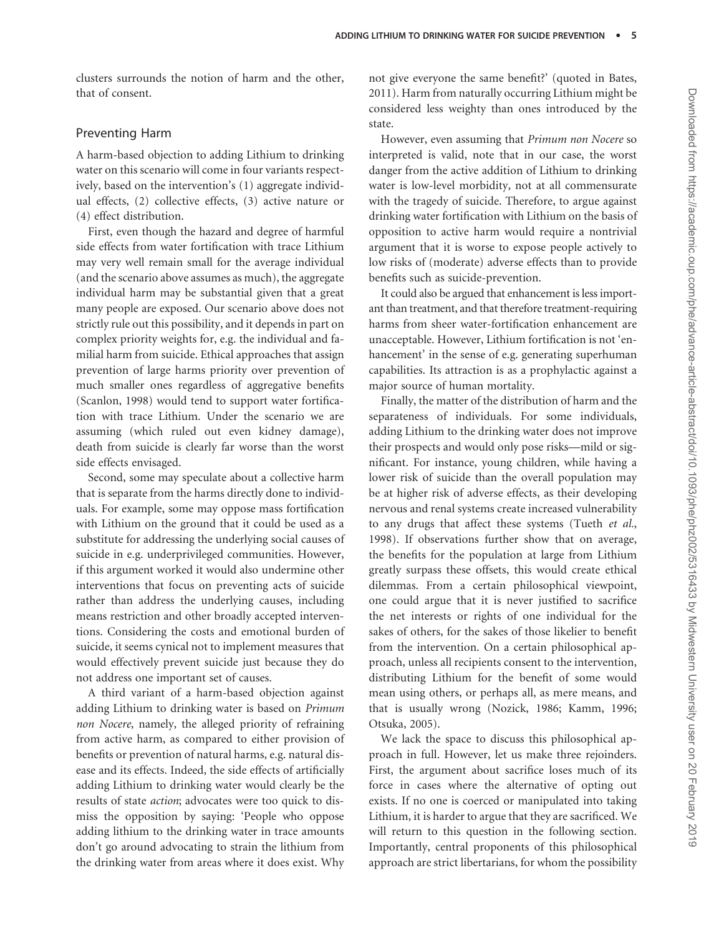clusters surrounds the notion of harm and the other, that of consent.

#### Preventing Harm

A harm-based objection to adding Lithium to drinking water on this scenario will come in four variants respectively, based on the intervention's (1) aggregate individual effects, (2) collective effects, (3) active nature or (4) effect distribution.

First, even though the hazard and degree of harmful side effects from water fortification with trace Lithium may very well remain small for the average individual (and the scenario above assumes as much), the aggregate individual harm may be substantial given that a great many people are exposed. Our scenario above does not strictly rule out this possibility, and it depends in part on complex priority weights for, e.g. the individual and familial harm from suicide. Ethical approaches that assign prevention of large harms priority over prevention of much smaller ones regardless of aggregative benefits [\(Scanlon, 1998\)](#page-11-0) would tend to support water fortification with trace Lithium. Under the scenario we are assuming (which ruled out even kidney damage), death from suicide is clearly far worse than the worst side effects envisaged.

Second, some may speculate about a collective harm that is separate from the harms directly done to individuals. For example, some may oppose mass fortification with Lithium on the ground that it could be used as a substitute for addressing the underlying social causes of suicide in e.g. underprivileged communities. However, if this argument worked it would also undermine other interventions that focus on preventing acts of suicide rather than address the underlying causes, including means restriction and other broadly accepted interventions. Considering the costs and emotional burden of suicide, it seems cynical not to implement measures that would effectively prevent suicide just because they do not address one important set of causes.

A third variant of a harm-based objection against adding Lithium to drinking water is based on Primum non Nocere, namely, the alleged priority of refraining from active harm, as compared to either provision of benefits or prevention of natural harms, e.g. natural disease and its effects. Indeed, the side effects of artificially adding Lithium to drinking water would clearly be the results of state action; advocates were too quick to dismiss the opposition by saying: 'People who oppose adding lithium to the drinking water in trace amounts don't go around advocating to strain the lithium from the drinking water from areas where it does exist. Why not give everyone the same benefit?' (quoted in [Bates,](#page-8-0) [2011](#page-8-0)). Harm from naturally occurring Lithium might be considered less weighty than ones introduced by the state.

However, even assuming that Primum non Nocere so interpreted is valid, note that in our case, the worst danger from the active addition of Lithium to drinking water is low-level morbidity, not at all commensurate with the tragedy of suicide. Therefore, to argue against drinking water fortification with Lithium on the basis of opposition to active harm would require a nontrivial argument that it is worse to expose people actively to low risks of (moderate) adverse effects than to provide benefits such as suicide-prevention.

It could also be argued that enhancement is less important than treatment, and that therefore treatment-requiring harms from sheer water-fortification enhancement are unacceptable. However, Lithium fortification is not 'enhancement' in the sense of e.g. generating superhuman capabilities. Its attraction is as a prophylactic against a major source of human mortality.

Finally, the matter of the distribution of harm and the separateness of individuals. For some individuals, adding Lithium to the drinking water does not improve their prospects and would only pose risks—mild or significant. For instance, young children, while having a lower risk of suicide than the overall population may be at higher risk of adverse effects, as their developing nervous and renal systems create increased vulnerability to any drugs that affect these systems ([Tueth](#page-12-0) et al., [1998](#page-12-0)). If observations further show that on average, the benefits for the population at large from Lithium greatly surpass these offsets, this would create ethical dilemmas. From a certain philosophical viewpoint, one could argue that it is never justified to sacrifice the net interests or rights of one individual for the sakes of others, for the sakes of those likelier to benefit from the intervention. On a certain philosophical approach, unless all recipients consent to the intervention, distributing Lithium for the benefit of some would mean using others, or perhaps all, as mere means, and that is usually wrong ([Nozick, 1986;](#page-11-0) [Kamm, 1996;](#page-10-0) [Otsuka, 2005\)](#page-11-0).

We lack the space to discuss this philosophical approach in full. However, let us make three rejoinders. First, the argument about sacrifice loses much of its force in cases where the alternative of opting out exists. If no one is coerced or manipulated into taking Lithium, it is harder to argue that they are sacrificed. We will return to this question in the following section. Importantly, central proponents of this philosophical approach are strict libertarians, for whom the possibility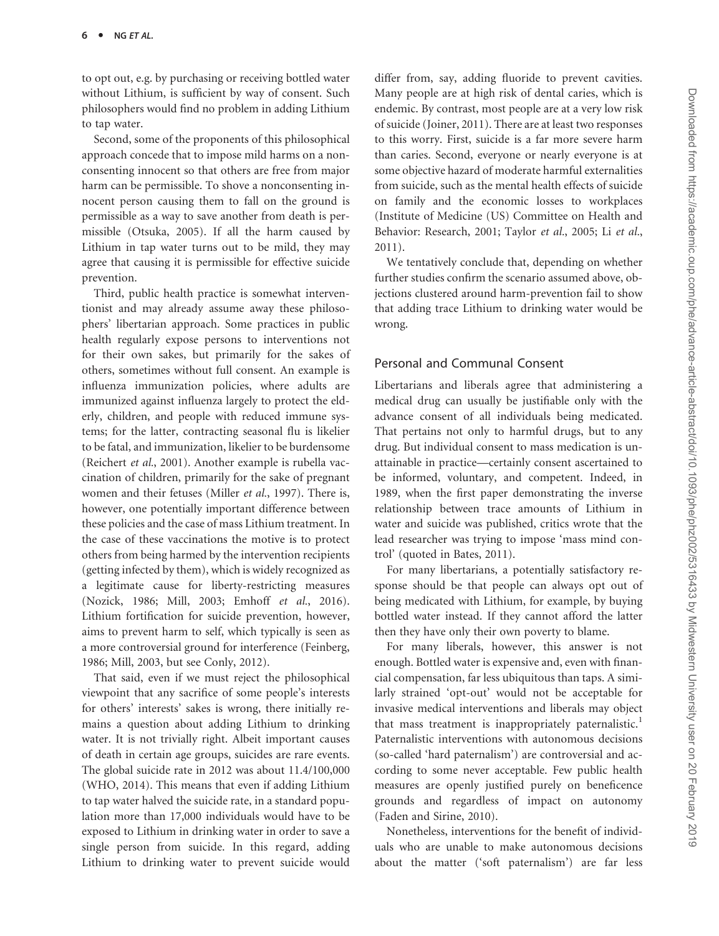to opt out, e.g. by purchasing or receiving bottled water without Lithium, is sufficient by way of consent. Such philosophers would find no problem in adding Lithium to tap water.

Second, some of the proponents of this philosophical approach concede that to impose mild harms on a nonconsenting innocent so that others are free from major harm can be permissible. To shove a nonconsenting innocent person causing them to fall on the ground is permissible as a way to save another from death is permissible [\(Otsuka, 2005](#page-11-0)). If all the harm caused by Lithium in tap water turns out to be mild, they may agree that causing it is permissible for effective suicide prevention.

Third, public health practice is somewhat interventionist and may already assume away these philosophers' libertarian approach. Some practices in public health regularly expose persons to interventions not for their own sakes, but primarily for the sakes of others, sometimes without full consent. An example is influenza immunization policies, where adults are immunized against influenza largely to protect the elderly, children, and people with reduced immune systems; for the latter, contracting seasonal flu is likelier to be fatal, and immunization, likelier to be burdensome [\(Reichert](#page-11-0) et al., 2001). Another example is rubella vaccination of children, primarily for the sake of pregnant women and their fetuses (Miller et al.[, 1997](#page-11-0)). There is, however, one potentially important difference between these policies and the case of mass Lithium treatment. In the case of these vaccinations the motive is to protect others from being harmed by the intervention recipients (getting infected by them), which is widely recognized as a legitimate cause for liberty-restricting measures [\(Nozick, 1986;](#page-11-0) [Mill, 2003](#page-10-0); [Emhoff](#page-9-0) et al., 2016). Lithium fortification for suicide prevention, however, aims to prevent harm to self, which typically is seen as a more controversial ground for interference [\(Feinberg,](#page-9-0) [1986](#page-9-0); [Mill, 2003,](#page-10-0) but see [Conly, 2012\)](#page-9-0).

That said, even if we must reject the philosophical viewpoint that any sacrifice of some people's interests for others' interests' sakes is wrong, there initially remains a question about adding Lithium to drinking water. It is not trivially right. Albeit important causes of death in certain age groups, suicides are rare events. The global suicide rate in 2012 was about 11.4/100,000 [\(WHO, 2014](#page-12-0)). This means that even if adding Lithium to tap water halved the suicide rate, in a standard population more than 17,000 individuals would have to be exposed to Lithium in drinking water in order to save a single person from suicide. In this regard, adding Lithium to drinking water to prevent suicide would

differ from, say, adding fluoride to prevent cavities. Many people are at high risk of dental caries, which is endemic. By contrast, most people are at a very low risk of suicide [\(Joiner, 2011](#page-10-0)). There are at least two responses to this worry. First, suicide is a far more severe harm than caries. Second, everyone or nearly everyone is at some objective hazard of moderate harmful externalities from suicide, such as the mental health effects of suicide on family and the economic losses to workplaces (Institute of Medicine (US) Committee on Health and Behavior: Research, 2001; [Taylor](#page-11-0) et al., 2005; Li [et al.](#page-10-0), [2011](#page-10-0)).

We tentatively conclude that, depending on whether further studies confirm the scenario assumed above, objections clustered around harm-prevention fail to show that adding trace Lithium to drinking water would be wrong.

### Personal and Communal Consent

Libertarians and liberals agree that administering a medical drug can usually be justifiable only with the advance consent of all individuals being medicated. That pertains not only to harmful drugs, but to any drug. But individual consent to mass medication is unattainable in practice—certainly consent ascertained to be informed, voluntary, and competent. Indeed, in 1989, when the first paper demonstrating the inverse relationship between trace amounts of Lithium in water and suicide was published, critics wrote that the lead researcher was trying to impose 'mass mind control' (quoted in [Bates, 2011\)](#page-8-0).

For many libertarians, a potentially satisfactory response should be that people can always opt out of being medicated with Lithium, for example, by buying bottled water instead. If they cannot afford the latter then they have only their own poverty to blame.

For many liberals, however, this answer is not enough. Bottled water is expensive and, even with financial compensation, far less ubiquitous than taps. A similarly strained 'opt-out' would not be acceptable for invasive medical interventions and liberals may object that mass treatment is inappropriately paternalistic.<sup>1</sup> Paternalistic interventions with autonomous decisions (so-called 'hard paternalism') are controversial and according to some never acceptable. Few public health measures are openly justified purely on beneficence grounds and regardless of impact on autonomy ([Faden and Sirine, 2010\)](#page-9-0).

Nonetheless, interventions for the benefit of individuals who are unable to make autonomous decisions about the matter ('soft paternalism') are far less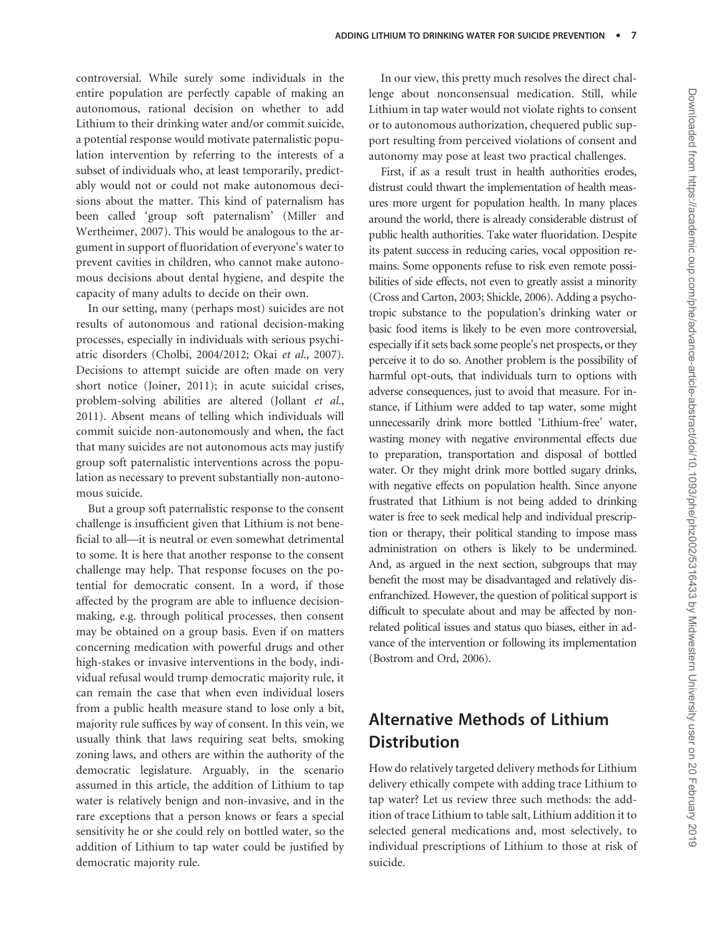controversial. While surely some individuals in the entire population are perfectly capable of making an autonomous, rational decision on whether to add Lithium to their drinking water and/or commit suicide, a potential response would motivate paternalistic population intervention by referring to the interests of a subset of individuals who, at least temporarily, predictably would not or could not make autonomous decisions about the matter. This kind of paternalism has been called 'group soft paternalism' [\(Miller and](#page-11-0) [Wertheimer, 2007](#page-11-0)). This would be analogous to the argument in support of fluoridation of everyone's water to prevent cavities in children, who cannot make autonomous decisions about dental hygiene, and despite the capacity of many adults to decide on their own.

In our setting, many (perhaps most) suicides are not results of autonomous and rational decision-making processes, especially in individuals with serious psychiatric disorders [\(Cholbi, 2004/2012;](#page-9-0) Okai et al.[, 2007](#page-11-0)). Decisions to attempt suicide are often made on very short notice [\(Joiner, 2011](#page-10-0)); in acute suicidal crises, problem-solving abilities are altered ([Jollant](#page-10-0) et al., [2011\)](#page-10-0). Absent means of telling which individuals will commit suicide non-autonomously and when, the fact that many suicides are not autonomous acts may justify group soft paternalistic interventions across the population as necessary to prevent substantially non-autonomous suicide.

But a group soft paternalistic response to the consent challenge is insufficient given that Lithium is not beneficial to all—it is neutral or even somewhat detrimental to some. It is here that another response to the consent challenge may help. That response focuses on the potential for democratic consent. In a word, if those affected by the program are able to influence decisionmaking, e.g. through political processes, then consent may be obtained on a group basis. Even if on matters concerning medication with powerful drugs and other high-stakes or invasive interventions in the body, individual refusal would trump democratic majority rule, it can remain the case that when even individual losers from a public health measure stand to lose only a bit, majority rule suffices by way of consent. In this vein, we usually think that laws requiring seat belts, smoking zoning laws, and others are within the authority of the democratic legislature. Arguably, in the scenario assumed in this article, the addition of Lithium to tap water is relatively benign and non-invasive, and in the rare exceptions that a person knows or fears a special sensitivity he or she could rely on bottled water, so the addition of Lithium to tap water could be justified by democratic majority rule.

In our view, this pretty much resolves the direct challenge about nonconsensual medication. Still, while Lithium in tap water would not violate rights to consent or to autonomous authorization, chequered public support resulting from perceived violations of consent and autonomy may pose at least two practical challenges.

First, if as a result trust in health authorities erodes, distrust could thwart the implementation of health measures more urgent for population health. In many places around the world, there is already considerable distrust of public health authorities. Take water fluoridation. Despite its patent success in reducing caries, vocal opposition remains. Some opponents refuse to risk even remote possibilities of side effects, not even to greatly assist a minority [\(Cross and Carton, 2003;](#page-9-0) [Shickle, 2006](#page-11-0)). Adding a psychotropic substance to the population's drinking water or basic food items is likely to be even more controversial, especially if it sets back some people's net prospects, or they perceive it to do so. Another problem is the possibility of harmful opt-outs, that individuals turn to options with adverse consequences, just to avoid that measure. For instance, if Lithium were added to tap water, some might unnecessarily drink more bottled 'Lithium-free' water, wasting money with negative environmental effects due to preparation, transportation and disposal of bottled water. Or they might drink more bottled sugary drinks, with negative effects on population health. Since anyone frustrated that Lithium is not being added to drinking water is free to seek medical help and individual prescription or therapy, their political standing to impose mass administration on others is likely to be undermined. And, as argued in the next section, subgroups that may benefit the most may be disadvantaged and relatively disenfranchized. However, the question of political support is difficult to speculate about and may be affected by nonrelated political issues and status quo biases, either in advance of the intervention or following its implementation [\(Bostrom and Ord, 2006\)](#page-9-0).

# Alternative Methods of Lithium **Distribution**

How do relatively targeted delivery methods for Lithium delivery ethically compete with adding trace Lithium to tap water? Let us review three such methods: the addition of trace Lithium to table salt, Lithium addition it to selected general medications and, most selectively, to individual prescriptions of Lithium to those at risk of suicide.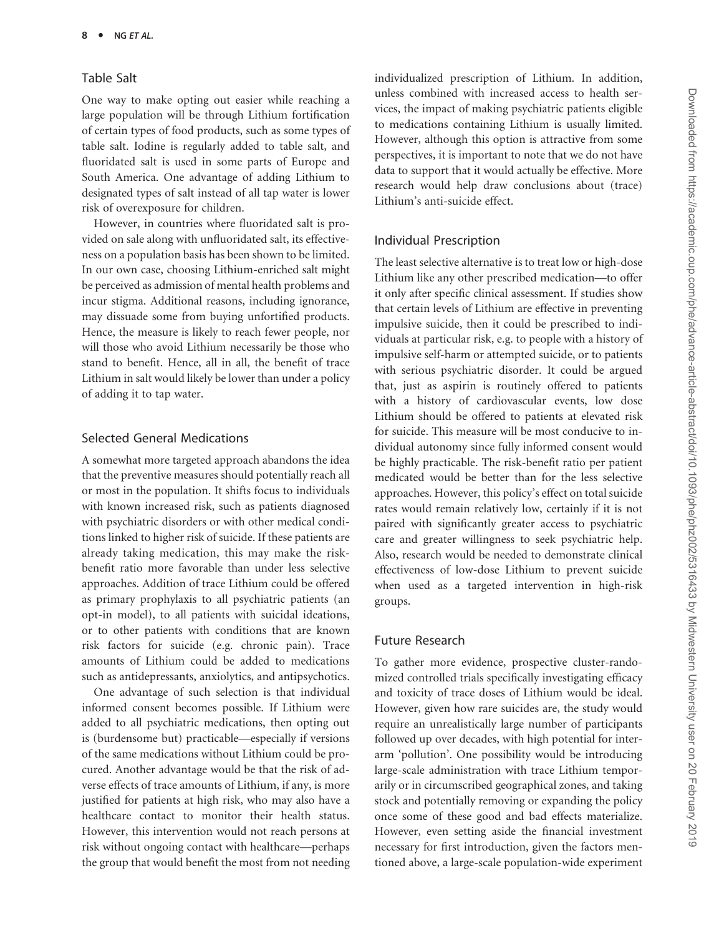### Table Salt

One way to make opting out easier while reaching a large population will be through Lithium fortification of certain types of food products, such as some types of table salt. Iodine is regularly added to table salt, and fluoridated salt is used in some parts of Europe and South America. One advantage of adding Lithium to designated types of salt instead of all tap water is lower risk of overexposure for children.

However, in countries where fluoridated salt is provided on sale along with unfluoridated salt, its effectiveness on a population basis has been shown to be limited. In our own case, choosing Lithium-enriched salt might be perceived as admission of mental health problems and incur stigma. Additional reasons, including ignorance, may dissuade some from buying unfortified products. Hence, the measure is likely to reach fewer people, nor will those who avoid Lithium necessarily be those who stand to benefit. Hence, all in all, the benefit of trace Lithium in salt would likely be lower than under a policy of adding it to tap water.

### Selected General Medications

A somewhat more targeted approach abandons the idea that the preventive measures should potentially reach all or most in the population. It shifts focus to individuals with known increased risk, such as patients diagnosed with psychiatric disorders or with other medical conditions linked to higher risk of suicide. If these patients are already taking medication, this may make the riskbenefit ratio more favorable than under less selective approaches. Addition of trace Lithium could be offered as primary prophylaxis to all psychiatric patients (an opt-in model), to all patients with suicidal ideations, or to other patients with conditions that are known risk factors for suicide (e.g. chronic pain). Trace amounts of Lithium could be added to medications such as antidepressants, anxiolytics, and antipsychotics.

One advantage of such selection is that individual informed consent becomes possible. If Lithium were added to all psychiatric medications, then opting out is (burdensome but) practicable—especially if versions of the same medications without Lithium could be procured. Another advantage would be that the risk of adverse effects of trace amounts of Lithium, if any, is more justified for patients at high risk, who may also have a healthcare contact to monitor their health status. However, this intervention would not reach persons at risk without ongoing contact with healthcare—perhaps the group that would benefit the most from not needing

individualized prescription of Lithium. In addition, unless combined with increased access to health services, the impact of making psychiatric patients eligible to medications containing Lithium is usually limited. However, although this option is attractive from some perspectives, it is important to note that we do not have data to support that it would actually be effective. More research would help draw conclusions about (trace) Lithium's anti-suicide effect.

### Individual Prescription

The least selective alternative is to treat low or high-dose Lithium like any other prescribed medication—to offer it only after specific clinical assessment. If studies show that certain levels of Lithium are effective in preventing impulsive suicide, then it could be prescribed to individuals at particular risk, e.g. to people with a history of impulsive self-harm or attempted suicide, or to patients with serious psychiatric disorder. It could be argued that, just as aspirin is routinely offered to patients with a history of cardiovascular events, low dose Lithium should be offered to patients at elevated risk for suicide. This measure will be most conducive to individual autonomy since fully informed consent would be highly practicable. The risk-benefit ratio per patient medicated would be better than for the less selective approaches. However, this policy's effect on total suicide rates would remain relatively low, certainly if it is not paired with significantly greater access to psychiatric care and greater willingness to seek psychiatric help. Also, research would be needed to demonstrate clinical effectiveness of low-dose Lithium to prevent suicide when used as a targeted intervention in high-risk groups.

### Future Research

To gather more evidence, prospective cluster-randomized controlled trials specifically investigating efficacy and toxicity of trace doses of Lithium would be ideal. However, given how rare suicides are, the study would require an unrealistically large number of participants followed up over decades, with high potential for interarm 'pollution'. One possibility would be introducing large-scale administration with trace Lithium temporarily or in circumscribed geographical zones, and taking stock and potentially removing or expanding the policy once some of these good and bad effects materialize. However, even setting aside the financial investment necessary for first introduction, given the factors mentioned above, a large-scale population-wide experiment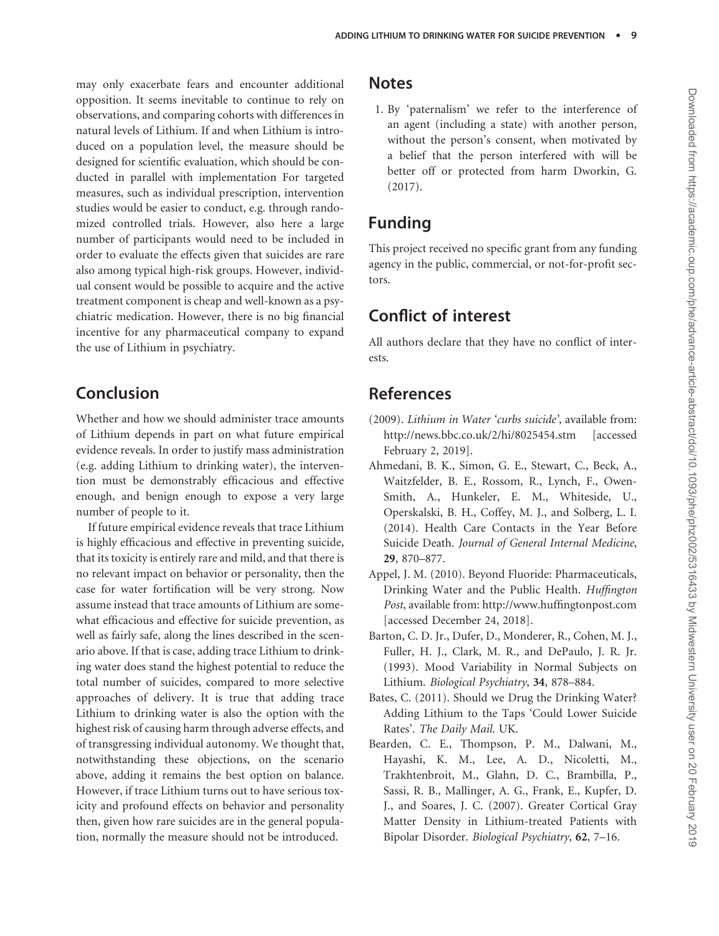<span id="page-8-0"></span>may only exacerbate fears and encounter additional opposition. It seems inevitable to continue to rely on observations, and comparing cohorts with differences in natural levels of Lithium. If and when Lithium is introduced on a population level, the measure should be designed for scientific evaluation, which should be conducted in parallel with implementation For targeted measures, such as individual prescription, intervention studies would be easier to conduct, e.g. through randomized controlled trials. However, also here a large number of participants would need to be included in order to evaluate the effects given that suicides are rare also among typical high-risk groups. However, individual consent would be possible to acquire and the active treatment component is cheap and well-known as a psychiatric medication. However, there is no big financial incentive for any pharmaceutical company to expand the use of Lithium in psychiatry.

### Conclusion

Whether and how we should administer trace amounts of Lithium depends in part on what future empirical evidence reveals. In order to justify mass administration (e.g. adding Lithium to drinking water), the intervention must be demonstrably efficacious and effective enough, and benign enough to expose a very large number of people to it.

If future empirical evidence reveals that trace Lithium is highly efficacious and effective in preventing suicide, that its toxicity is entirely rare and mild, and that there is no relevant impact on behavior or personality, then the case for water fortification will be very strong. Now assume instead that trace amounts of Lithium are somewhat efficacious and effective for suicide prevention, as well as fairly safe, along the lines described in the scenario above. If that is case, adding trace Lithium to drinking water does stand the highest potential to reduce the total number of suicides, compared to more selective approaches of delivery. It is true that adding trace Lithium to drinking water is also the option with the highest risk of causing harm through adverse effects, and of transgressing individual autonomy. We thought that, notwithstanding these objections, on the scenario above, adding it remains the best option on balance. However, if trace Lithium turns out to have serious toxicity and profound effects on behavior and personality then, given how rare suicides are in the general population, normally the measure should not be introduced.

### Notes

1. By 'paternalism' we refer to the interference of an agent (including a state) with another person, without the person's consent, when motivated by a belief that the person interfered with will be better off or protected from harm [Dworkin, G.](#page-9-0) [\(2017\).](#page-9-0)

## Funding

This project received no specific grant from any funding agency in the public, commercial, or not-for-profit sectors.

### Conflict of interest

All authors declare that they have no conflict of interests.

# References

- (2009). Lithium in Water 'curbs suicide', available from: [http://news.bbc.co.uk/2/hi/8025454.stm \[accessed](http://news.bbc.co.uk/2/hi/8025454.stm[accessed) February 2, 2019].
- Ahmedani, B. K., Simon, G. E., Stewart, C., Beck, A., Waitzfelder, B. E., Rossom, R., Lynch, F., Owen-Smith, A., Hunkeler, E. M., Whiteside, U., Operskalski, B. H., Coffey, M. J., and Solberg, L. I. (2014). Health Care Contacts in the Year Before Suicide Death. Journal of General Internal Medicine, 29, 870–877.
- Appel, J. M. (2010). Beyond Fluoride: Pharmaceuticals, Drinking Water and the Public Health. Huffington Post, available from:<http://www.huffingtonpost.com> [accessed December 24, 2018].
- Barton, C. D. Jr., Dufer, D., Monderer, R., Cohen, M. J., Fuller, H. J., Clark, M. R., and DePaulo, J. R. Jr. (1993). Mood Variability in Normal Subjects on Lithium. Biological Psychiatry, 34, 878–884.
- Bates, C. (2011). Should we Drug the Drinking Water? Adding Lithium to the Taps 'Could Lower Suicide Rates'. The Daily Mail. UK.
- Bearden, C. E., Thompson, P. M., Dalwani, M., Hayashi, K. M., Lee, A. D., Nicoletti, M., Trakhtenbroit, M., Glahn, D. C., Brambilla, P., Sassi, R. B., Mallinger, A. G., Frank, E., Kupfer, D. J., and Soares, J. C. (2007). Greater Cortical Gray Matter Density in Lithium-treated Patients with Bipolar Disorder. Biological Psychiatry, 62, 7–16.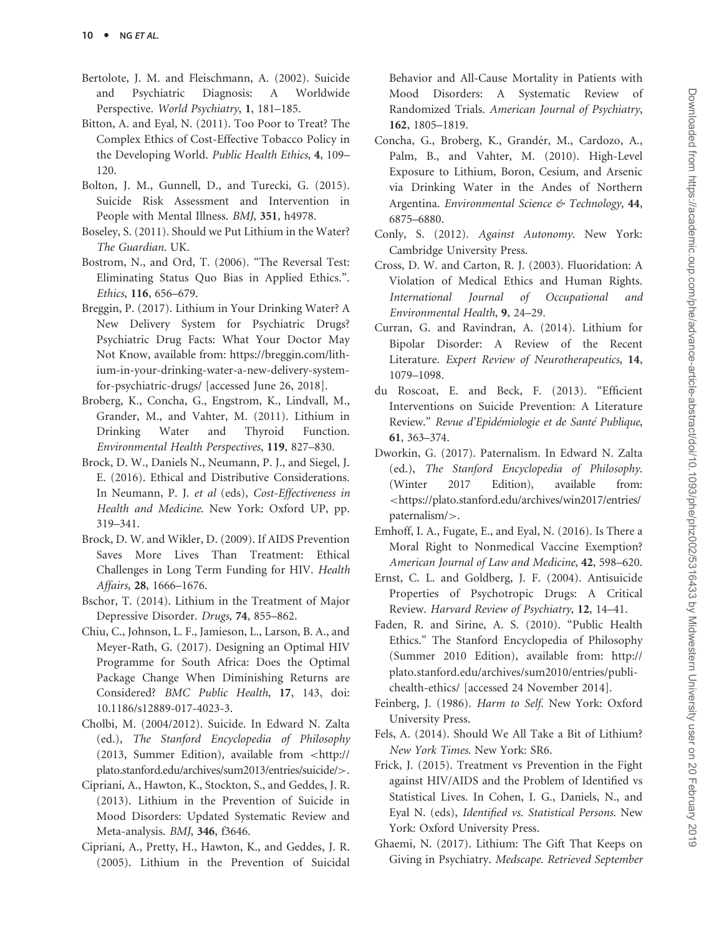- <span id="page-9-0"></span>Bertolote, J. M. and Fleischmann, A. (2002). Suicide and Psychiatric Diagnosis: A Worldwide Perspective. World Psychiatry, 1, 181–185.
- Bitton, A. and Eyal, N. (2011). Too Poor to Treat? The Complex Ethics of Cost-Effective Tobacco Policy in the Developing World. Public Health Ethics, 4, 109– 120.
- Bolton, J. M., Gunnell, D., and Turecki, G. (2015). Suicide Risk Assessment and Intervention in People with Mental Illness. BMJ, 351, h4978.
- Boseley, S. (2011). Should we Put Lithium in the Water? The Guardian. UK.
- Bostrom, N., and Ord, T. (2006). "The Reversal Test: Eliminating Status Quo Bias in Applied Ethics.". Ethics, 116, 656–679.
- Breggin, P. (2017). Lithium in Your Drinking Water? A New Delivery System for Psychiatric Drugs? Psychiatric Drug Facts: What Your Doctor May Not Know, available from: [https://breggin.com/lith](https://breggin.com/lithium-in-your-drinking-water-a-new-delivery-system-for-psychiatric-drugs/)[ium-in-your-drinking-water-a-new-delivery-system](https://breggin.com/lithium-in-your-drinking-water-a-new-delivery-system-for-psychiatric-drugs/)[for-psychiatric-drugs/](https://breggin.com/lithium-in-your-drinking-water-a-new-delivery-system-for-psychiatric-drugs/) [accessed June 26, 2018].
- Broberg, K., Concha, G., Engstrom, K., Lindvall, M., Grander, M., and Vahter, M. (2011). Lithium in Drinking Water and Thyroid Function. Environmental Health Perspectives, 119, 827–830.
- Brock, D. W., Daniels N., Neumann, P. J., and Siegel, J. E. (2016). Ethical and Distributive Considerations. In Neumann, P. J. et al (eds), Cost-Effectiveness in Health and Medicine. New York: Oxford UP, pp. 319–341.
- Brock, D. W. and Wikler, D. (2009). If AIDS Prevention Saves More Lives Than Treatment: Ethical Challenges in Long Term Funding for HIV. Health Affairs, 28, 1666–1676.
- Bschor, T. (2014). Lithium in the Treatment of Major Depressive Disorder. Drugs, 74, 855–862.
- Chiu, C., Johnson, L. F., Jamieson, L., Larson, B. A., and Meyer-Rath, G. (2017). Designing an Optimal HIV Programme for South Africa: Does the Optimal Package Change When Diminishing Returns are Considered? BMC Public Health, 17, 143, doi: 10.1186/s12889-017-4023-3.
- Cholbi, M. (2004/2012). Suicide. In Edward N. Zalta (ed.), The Stanford Encyclopedia of Philosophy (2013, Summer Edition), available from <[http://](http://plato.stanford.edu/archives/sum2013/entries/suicide/) [plato.stanford.edu/archives/sum2013/entries/suicide/](http://plato.stanford.edu/archives/sum2013/entries/suicide/)>.
- Cipriani, A., Hawton, K., Stockton, S., and Geddes, J. R. (2013). Lithium in the Prevention of Suicide in Mood Disorders: Updated Systematic Review and Meta-analysis. BMJ, 346, f3646.
- Cipriani, A., Pretty, H., Hawton, K., and Geddes, J. R. (2005). Lithium in the Prevention of Suicidal

Behavior and All-Cause Mortality in Patients with Mood Disorders: A Systematic Review of Randomized Trials. American Journal of Psychiatry, 162, 1805–1819.

- Concha, G., Broberg, K., Grandér, M., Cardozo, A., Palm, B., and Vahter, M. (2010). High-Level Exposure to Lithium, Boron, Cesium, and Arsenic via Drinking Water in the Andes of Northern Argentina. Environmental Science & Technology, 44, 6875–6880.
- Conly, S. (2012). Against Autonomy. New York: Cambridge University Press.
- Cross, D. W. and Carton, R. J. (2003). Fluoridation: A Violation of Medical Ethics and Human Rights. International Journal of Occupational and Environmental Health, 9, 24–29.
- Curran, G. and Ravindran, A. (2014). Lithium for Bipolar Disorder: A Review of the Recent Literature. Expert Review of Neurotherapeutics, 14, 1079–1098.
- du Roscoat, E. and Beck, F. (2013). "Efficient Interventions on Suicide Prevention: A Literature Review." Revue d'Epidémiologie et de Santé Publique, 61, 363–374.
- Dworkin, G. (2017). Paternalism. In Edward N. Zalta (ed.), The Stanford Encyclopedia of Philosophy. (Winter 2017 Edition), available from: <[https://plato.stanford.edu/archives/win2017/entries/](https://plato.stanford.edu/archives/win2017/entries/paternalism/) [paternalism/](https://plato.stanford.edu/archives/win2017/entries/paternalism/)>.
- Emhoff, I. A., Fugate, E., and Eyal, N. (2016). Is There a Moral Right to Nonmedical Vaccine Exemption? American Journal of Law and Medicine, 42, 598–620.
- Ernst, C. L. and Goldberg, J. F. (2004). Antisuicide Properties of Psychotropic Drugs: A Critical Review. Harvard Review of Psychiatry, 12, 14–41.
- Faden, R. and Sirine, A. S. (2010). "Public Health Ethics." The Stanford Encyclopedia of Philosophy (Summer 2010 Edition), available from: [http://](http://plato.stanford.edu/archives/sum2010/entries/publichealth-ethics/) [plato.stanford.edu/archives/sum2010/entries/publi](http://plato.stanford.edu/archives/sum2010/entries/publichealth-ethics/)[chealth-ethics/](http://plato.stanford.edu/archives/sum2010/entries/publichealth-ethics/) [accessed 24 November 2014].
- Feinberg, J. (1986). Harm to Self. New York: Oxford University Press.
- Fels, A. (2014). Should We All Take a Bit of Lithium? New York Times. New York: SR6.
- Frick, J. (2015). Treatment vs Prevention in the Fight against HIV/AIDS and the Problem of Identified vs Statistical Lives. In Cohen, I. G., Daniels, N., and Eyal N. (eds), Identified vs. Statistical Persons. New York: Oxford University Press.
- Ghaemi, N. (2017). Lithium: The Gift That Keeps on Giving in Psychiatry. Medscape. Retrieved September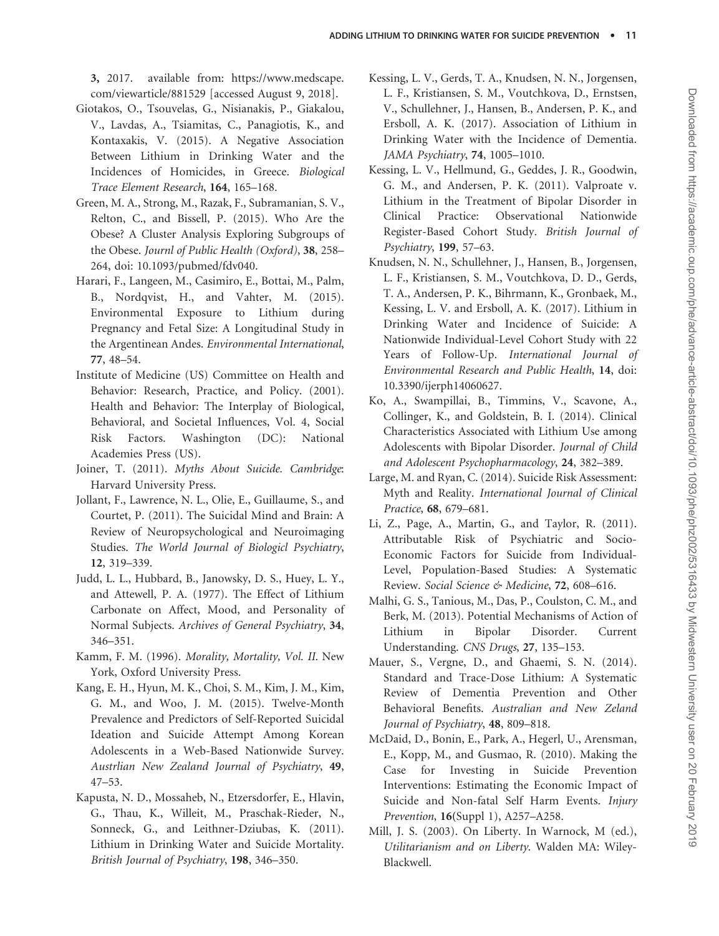<span id="page-10-0"></span>3, 2017. available from: [https://www.medscape.](https://www.medscape.com/viewarticle/881529) [com/viewarticle/881529](https://www.medscape.com/viewarticle/881529) [accessed August 9, 2018].

- Giotakos, O., Tsouvelas, G., Nisianakis, P., Giakalou, V., Lavdas, A., Tsiamitas, C., Panagiotis, K., and Kontaxakis, V. (2015). A Negative Association Between Lithium in Drinking Water and the Incidences of Homicides, in Greece. Biological Trace Element Research, 164, 165–168.
- Green, M. A., Strong, M., Razak, F., Subramanian, S. V., Relton, C., and Bissell, P. (2015). Who Are the Obese? A Cluster Analysis Exploring Subgroups of the Obese. Journl of Public Health (Oxford), 38, 258– 264, doi: 10.1093/pubmed/fdv040.
- Harari, F., Langeen, M., Casimiro, E., Bottai, M., Palm, B., Nordqvist, H., and Vahter, M. (2015). Environmental Exposure to Lithium during Pregnancy and Fetal Size: A Longitudinal Study in the Argentinean Andes. Environmental International, 77, 48–54.
- Institute of Medicine (US) Committee on Health and Behavior: Research, Practice, and Policy. (2001). Health and Behavior: The Interplay of Biological, Behavioral, and Societal Influences, Vol. 4, Social Risk Factors. Washington (DC): National Academies Press (US).
- Joiner, T. (2011). Myths About Suicide. Cambridge: Harvard University Press.
- Jollant, F., Lawrence, N. L., Olie, E., Guillaume, S., and Courtet, P. (2011). The Suicidal Mind and Brain: A Review of Neuropsychological and Neuroimaging Studies. The World Journal of Biologicl Psychiatry, 12, 319–339.
- Judd, L. L., Hubbard, B., Janowsky, D. S., Huey, L. Y., and Attewell, P. A. (1977). The Effect of Lithium Carbonate on Affect, Mood, and Personality of Normal Subjects. Archives of General Psychiatry, 34, 346–351.
- Kamm, F. M. (1996). Morality, Mortality, Vol. II. New York, Oxford University Press.
- Kang, E. H., Hyun, M. K., Choi, S. M., Kim, J. M., Kim, G. M., and Woo, J. M. (2015). Twelve-Month Prevalence and Predictors of Self-Reported Suicidal Ideation and Suicide Attempt Among Korean Adolescents in a Web-Based Nationwide Survey. Austrlian New Zealand Journal of Psychiatry, 49, 47–53.
- Kapusta, N. D., Mossaheb, N., Etzersdorfer, E., Hlavin, G., Thau, K., Willeit, M., Praschak-Rieder, N., Sonneck, G., and Leithner-Dziubas, K. (2011). Lithium in Drinking Water and Suicide Mortality. British Journal of Psychiatry, 198, 346–350.
- Kessing, L. V., Gerds, T. A., Knudsen, N. N., Jorgensen, L. F., Kristiansen, S. M., Voutchkova, D., Ernstsen, V., Schullehner, J., Hansen, B., Andersen, P. K., and Ersboll, A. K. (2017). Association of Lithium in Drinking Water with the Incidence of Dementia. JAMA Psychiatry, 74, 1005–1010.
- Kessing, L. V., Hellmund, G., Geddes, J. R., Goodwin, G. M., and Andersen, P. K. (2011). Valproate v. Lithium in the Treatment of Bipolar Disorder in Clinical Practice: Observational Nationwide Register-Based Cohort Study. British Journal of Psychiatry, 199, 57–63.
- Knudsen, N. N., Schullehner, J., Hansen, B., Jorgensen, L. F., Kristiansen, S. M., Voutchkova, D. D., Gerds, T. A., Andersen, P. K., Bihrmann, K., Gronbaek, M., Kessing, L. V. and Ersboll, A. K. (2017). Lithium in Drinking Water and Incidence of Suicide: A Nationwide Individual-Level Cohort Study with 22 Years of Follow-Up. International Journal of Environmental Research and Public Health, 14, doi: 10.3390/ijerph14060627.
- Ko, A., Swampillai, B., Timmins, V., Scavone, A., Collinger, K., and Goldstein, B. I. (2014). Clinical Characteristics Associated with Lithium Use among Adolescents with Bipolar Disorder. Journal of Child and Adolescent Psychopharmacology, 24, 382–389.
- Large, M. and Ryan, C. (2014). Suicide Risk Assessment: Myth and Reality. International Journal of Clinical Practice, 68, 679–681.
- Li, Z., Page, A., Martin, G., and Taylor, R. (2011). Attributable Risk of Psychiatric and Socio-Economic Factors for Suicide from Individual-Level, Population-Based Studies: A Systematic Review. Social Science & Medicine, 72, 608–616.
- Malhi, G. S., Tanious, M., Das, P., Coulston, C. M., and Berk, M. (2013). Potential Mechanisms of Action of Lithium in Bipolar Disorder. Current Understanding. CNS Drugs, 27, 135–153.
- Mauer, S., Vergne, D., and Ghaemi, S. N. (2014). Standard and Trace-Dose Lithium: A Systematic Review of Dementia Prevention and Other Behavioral Benefits. Australian and New Zeland Journal of Psychiatry, 48, 809–818.
- McDaid, D., Bonin, E., Park, A., Hegerl, U., Arensman, E., Kopp, M., and Gusmao, R. (2010). Making the Case for Investing in Suicide Prevention Interventions: Estimating the Economic Impact of Suicide and Non-fatal Self Harm Events. Injury Prevention, 16(Suppl 1), A257–A258.
- Mill, J. S. (2003). On Liberty. In Warnock, M (ed.), Utilitarianism and on Liberty. Walden MA: Wiley-Blackwell.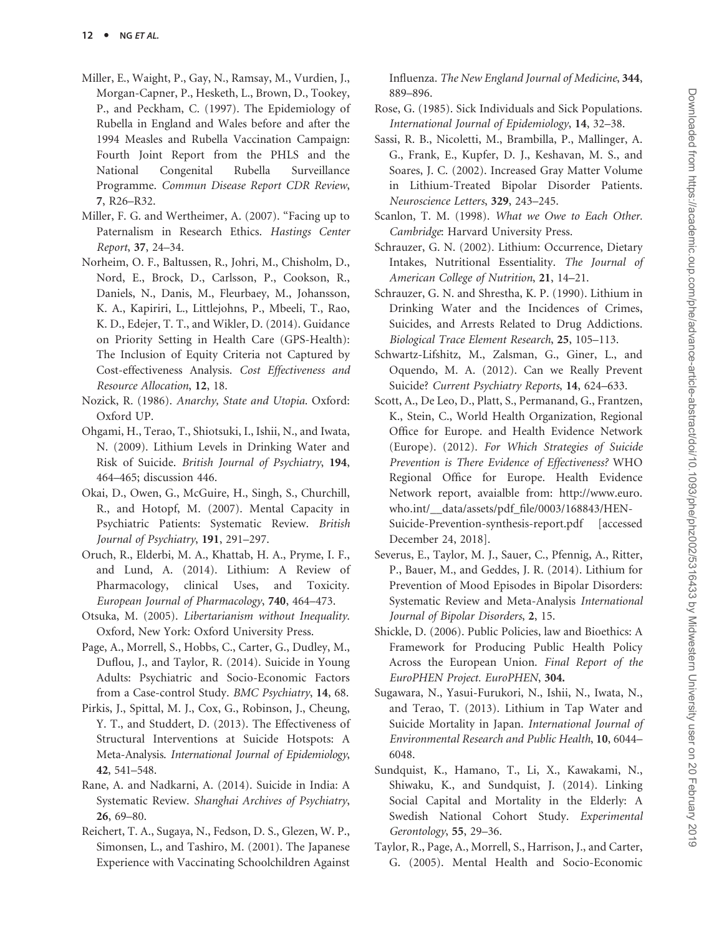- <span id="page-11-0"></span>Miller, E., Waight, P., Gay, N., Ramsay, M., Vurdien, J., Morgan-Capner, P., Hesketh, L., Brown, D., Tookey, P., and Peckham, C. (1997). The Epidemiology of Rubella in England and Wales before and after the 1994 Measles and Rubella Vaccination Campaign: Fourth Joint Report from the PHLS and the National Congenital Rubella Surveillance Programme. Commun Disease Report CDR Review, 7, R26–R32.
- Miller, F. G. and Wertheimer, A. (2007). "Facing up to Paternalism in Research Ethics. Hastings Center Report, 37, 24–34.
- Norheim, O. F., Baltussen, R., Johri, M., Chisholm, D., Nord, E., Brock, D., Carlsson, P., Cookson, R., Daniels, N., Danis, M., Fleurbaey, M., Johansson, K. A., Kapiriri, L., Littlejohns, P., Mbeeli, T., Rao, K. D., Edejer, T. T., and Wikler, D. (2014). Guidance on Priority Setting in Health Care (GPS-Health): The Inclusion of Equity Criteria not Captured by Cost-effectiveness Analysis. Cost Effectiveness and Resource Allocation, 12, 18.
- Nozick, R. (1986). Anarchy, State and Utopia. Oxford: Oxford UP.
- Ohgami, H., Terao, T., Shiotsuki, I., Ishii, N., and Iwata, N. (2009). Lithium Levels in Drinking Water and Risk of Suicide. British Journal of Psychiatry, 194, 464–465; discussion 446.
- Okai, D., Owen, G., McGuire, H., Singh, S., Churchill, R., and Hotopf, M. (2007). Mental Capacity in Psychiatric Patients: Systematic Review. British Journal of Psychiatry, 191, 291–297.
- Oruch, R., Elderbi, M. A., Khattab, H. A., Pryme, I. F., and Lund, A. (2014). Lithium: A Review of Pharmacology, clinical Uses, and Toxicity. European Journal of Pharmacology, 740, 464–473.
- Otsuka, M. (2005). Libertarianism without Inequality. Oxford, New York: Oxford University Press.
- Page, A., Morrell, S., Hobbs, C., Carter, G., Dudley, M., Duflou, J., and Taylor, R. (2014). Suicide in Young Adults: Psychiatric and Socio-Economic Factors from a Case-control Study. BMC Psychiatry, 14, 68.
- Pirkis, J., Spittal, M. J., Cox, G., Robinson, J., Cheung, Y. T., and Studdert, D. (2013). The Effectiveness of Structural Interventions at Suicide Hotspots: A Meta-Analysis. International Journal of Epidemiology, 42, 541–548.
- Rane, A. and Nadkarni, A. (2014). Suicide in India: A Systematic Review. Shanghai Archives of Psychiatry, 26, 69–80.
- Reichert, T. A., Sugaya, N., Fedson, D. S., Glezen, W. P., Simonsen, L., and Tashiro, M. (2001). The Japanese Experience with Vaccinating Schoolchildren Against

Influenza. The New England Journal of Medicine, 344, 889–896.

- Rose, G. (1985). Sick Individuals and Sick Populations. International Journal of Epidemiology, 14, 32–38.
- Sassi, R. B., Nicoletti, M., Brambilla, P., Mallinger, A. G., Frank, E., Kupfer, D. J., Keshavan, M. S., and Soares, J. C. (2002). Increased Gray Matter Volume in Lithium-Treated Bipolar Disorder Patients. Neuroscience Letters, 329, 243–245.
- Scanlon, T. M. (1998). What we Owe to Each Other. Cambridge: Harvard University Press.
- Schrauzer, G. N. (2002). Lithium: Occurrence, Dietary Intakes, Nutritional Essentiality. The Journal of American College of Nutrition, 21, 14–21.
- Schrauzer, G. N. and Shrestha, K. P. (1990). Lithium in Drinking Water and the Incidences of Crimes, Suicides, and Arrests Related to Drug Addictions. Biological Trace Element Research, 25, 105–113.
- Schwartz-Lifshitz, M., Zalsman, G., Giner, L., and Oquendo, M. A. (2012). Can we Really Prevent Suicide? Current Psychiatry Reports, 14, 624–633.
- Scott, A., De Leo, D., Platt, S., Permanand, G., Frantzen, K., Stein, C., World Health Organization, Regional Office for Europe. and Health Evidence Network (Europe). (2012). For Which Strategies of Suicide Prevention is There Evidence of Effectiveness? WHO Regional Office for Europe. Health Evidence Network report, avaialble from: [http://www.euro.](http://www.euro.who.int/__data/assets/pdf_file/0003/168843/HEN-Suicide-Prevention-synthesis-report.pdf) who.int/ data/assets/pdf\_file/0003/168843/HEN-[Suicide-Prevention-synthesis-report.pdf](http://www.euro.who.int/__data/assets/pdf_file/0003/168843/HEN-Suicide-Prevention-synthesis-report.pdf) [accessed] December 24, 2018].
- Severus, E., Taylor, M. J., Sauer, C., Pfennig, A., Ritter, P., Bauer, M., and Geddes, J. R. (2014). Lithium for Prevention of Mood Episodes in Bipolar Disorders: Systematic Review and Meta-Analysis International Journal of Bipolar Disorders, 2, 15.
- Shickle, D. (2006). Public Policies, law and Bioethics: A Framework for Producing Public Health Policy Across the European Union. Final Report of the EuroPHEN Project. EuroPHEN, 304.
- Sugawara, N., Yasui-Furukori, N., Ishii, N., Iwata, N., and Terao, T. (2013). Lithium in Tap Water and Suicide Mortality in Japan. International Journal of Environmental Research and Public Health, 10, 6044– 6048.
- Sundquist, K., Hamano, T., Li, X., Kawakami, N., Shiwaku, K., and Sundquist, J. (2014). Linking Social Capital and Mortality in the Elderly: A Swedish National Cohort Study. Experimental Gerontology, 55, 29–36.
- Taylor, R., Page, A., Morrell, S., Harrison, J., and Carter, G. (2005). Mental Health and Socio-Economic